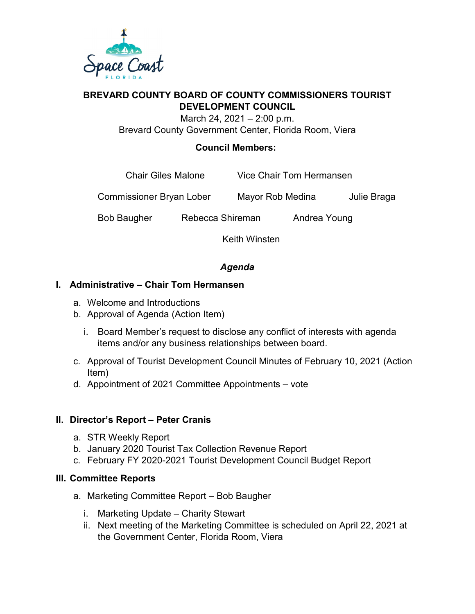

## **BREVARD COUNTY BOARD OF COUNTY COMMISSIONERS TOURIST DEVELOPMENT COUNCIL**

March 24, 2021 – 2:00 p.m. Brevard County Government Center, Florida Room, Viera

## **Council Members:**

| <b>Chair Giles Malone</b>       |                  | Vice Chair Tom Hermansen |              |             |
|---------------------------------|------------------|--------------------------|--------------|-------------|
| <b>Commissioner Bryan Lober</b> |                  | Mayor Rob Medina         |              | Julie Braga |
| <b>Bob Baugher</b>              | Rebecca Shireman |                          | Andrea Young |             |

Keith Winsten

# *Agenda*

## **I. Administrative – Chair Tom Hermansen**

- a. Welcome and Introductions
- b. Approval of Agenda (Action Item)
	- i. Board Member's request to disclose any conflict of interests with agenda items and/or any business relationships between board.
- c. Approval of Tourist Development Council Minutes of February 10, 2021 (Action Item)
- d. Appointment of 2021 Committee Appointments vote

# **II. Director's Report – Peter Cranis**

- a. STR Weekly Report
- b. January 2020 Tourist Tax Collection Revenue Report
- c. February FY 2020-2021 Tourist Development Council Budget Report

## **III. Committee Reports**

- a. Marketing Committee Report Bob Baugher
	- i. Marketing Update Charity Stewart
	- ii. Next meeting of the Marketing Committee is scheduled on April 22, 2021 at the Government Center, Florida Room, Viera